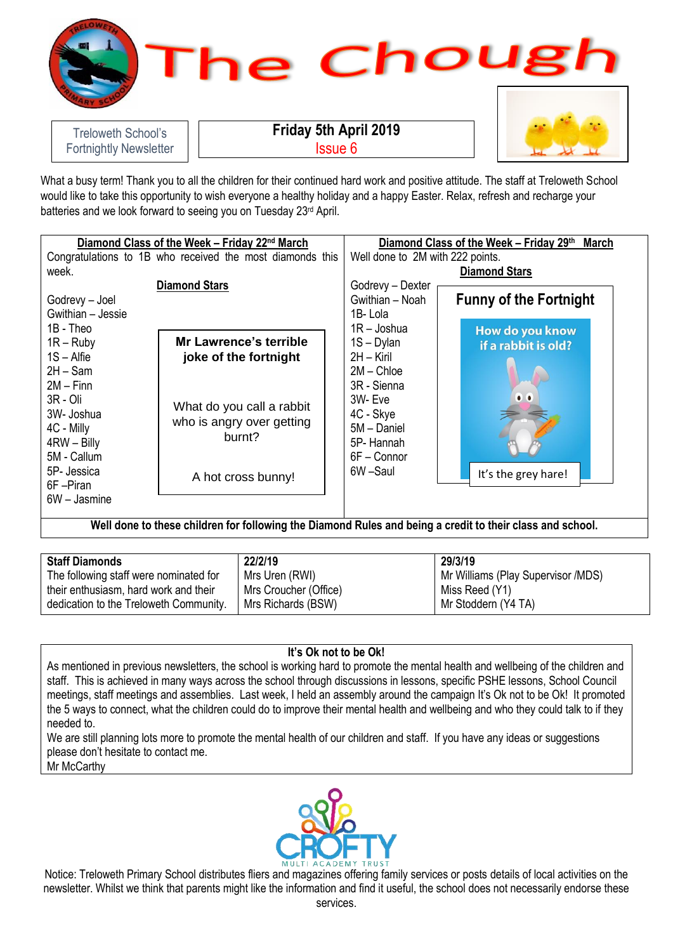

What a busy term! Thank you to all the children for their continued hard work and positive attitude. The staff at Treloweth School would like to take this opportunity to wish everyone a healthy holiday and a happy Easter. Relax, refresh and recharge your batteries and we look forward to seeing you on Tuesday 23<sup>rd</sup> April.

| Diamond Class of the Week – Friday 22nd March             |                               | Diamond Class of the Week - Friday 29th March |                 |                               |
|-----------------------------------------------------------|-------------------------------|-----------------------------------------------|-----------------|-------------------------------|
| Congratulations to 1B who received the most diamonds this |                               | Well done to 2M with 222 points.              |                 |                               |
| week.                                                     |                               | <b>Diamond Stars</b>                          |                 |                               |
| <b>Diamond Stars</b>                                      |                               | Godrevy - Dexter                              |                 |                               |
| Godrevy - Joel                                            |                               |                                               | Gwithian - Noah | <b>Funny of the Fortnight</b> |
| Gwithian - Jessie                                         |                               |                                               | 1B-Lola         |                               |
| 1B - Theo                                                 |                               |                                               | $1R -$ Joshua   | How do you know               |
| $1R - Ruby$                                               | <b>Mr Lawrence's terrible</b> |                                               | $1S - Dylan$    | if a rabbit is old?           |
| $1S -$ Alfie                                              | joke of the fortnight         |                                               | $2H - Kiril$    |                               |
| $2H - Sam$                                                |                               |                                               | $2M -$ Chloe    |                               |
| $2M - Finn$                                               |                               |                                               | 3R - Sienna     |                               |
| 3R - Oli                                                  | What do you call a rabbit     |                                               | 3W-Eve          | $\bullet$ $\bullet$           |
| 3W- Joshua                                                |                               |                                               | 4C - Skye       |                               |
| 4C - Milly                                                | who is angry over getting     |                                               | 5M - Daniel     |                               |
| 4RW - Billy                                               | burnt?                        |                                               | 5P-Hannah       |                               |
| 5M - Callum                                               |                               |                                               | $6F -$ Connor   |                               |
| 5P- Jessica                                               | A hot cross bunny!            |                                               | 6W-Saul         | It's the grey hare!           |
| 6F-Piran                                                  |                               |                                               |                 |                               |
| 6W - Jasmine                                              |                               |                                               |                 |                               |
|                                                           |                               |                                               |                 |                               |

**Well done to these children for following the Diamond Rules and being a credit to their class and school.**

| <b>Staff Diamonds</b>                  | 22/2/19               | 29/3/19                            |
|----------------------------------------|-----------------------|------------------------------------|
| The following staff were nominated for | Mrs Uren (RWI)        | Mr Williams (Play Supervisor /MDS) |
| their enthusiasm, hard work and their  | Mrs Croucher (Office) | Miss Reed (Y1)                     |
| dedication to the Treloweth Community. | Mrs Richards (BSW)    | Mr Stoddern (Y4 TA)                |

## **It's Ok not to be Ok!**

As mentioned in previous newsletters, the school is working hard to promote the mental health and wellbeing of the children and staff. This is achieved in many ways across the school through discussions in lessons, specific PSHE lessons, School Council meetings, staff meetings and assemblies. Last week, I held an assembly around the campaign It's Ok not to be Ok! It promoted the 5 ways to connect, what the children could do to improve their mental health and wellbeing and who they could talk to if they needed to.

We are still planning lots more to promote the mental health of our children and staff. If you have any ideas or suggestions please don't hesitate to contact me.

Mr McCarthy

Fortnightly Newsletter



Notice: Treloweth Primary School distributes fliers and magazines offering family services or posts details of local activities on the newsletter. Whilst we think that parents might like the information and find it useful, the school does not necessarily endorse these services.